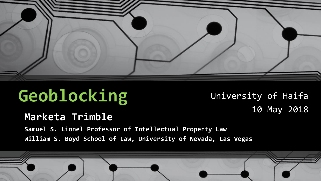

# **Geoblocking** University of Haifa

10 May 2018

#### **Marketa Trimble**

**Samuel S. Lionel Professor of Intellectual Property Law William S. Boyd School of Law, University of Nevada, Las Vegas**

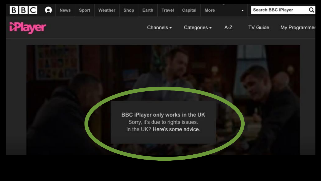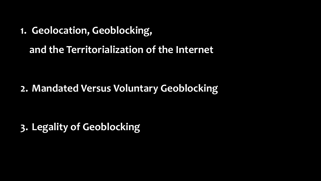**1. Geolocation, Geoblocking,** 

**and the Territorialization of the Internet**

**2. Mandated Versus Voluntary Geoblocking**

**3. Legality of Geoblocking**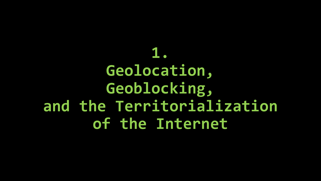**1. Geolocation, Geoblocking, and the Territorialization of the Internet**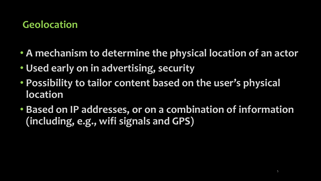### **Geolocation**

- **A mechanism to determine the physical location of an actor**
- **Used early on in advertising, security**
- **Possibility to tailor content based on the user's physical location**
- **Based on IP addresses, or on a combination of information (including, e.g., wifi signals and GPS)**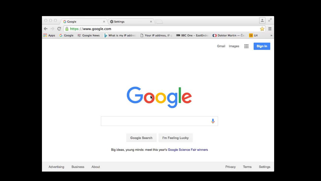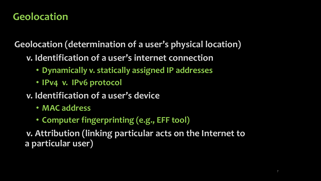#### **Geolocation**

**Geolocation (determination of a user's physical location)**

- **v. Identification of a user's internet connection**
	- **Dynamically v. statically assigned IP addresses**
	- **IPv4 v. IPv6 protocol**
- **v. Identification of a user's device**
	- **MAC address**
	- **Computer fingerprinting (e.g., EFF tool)**

**v. Attribution (linking particular acts on the Internet to a particular user)**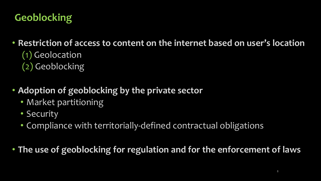## **Geoblocking**

• **Restriction of access to content on the internet based on user's location** (1) Geolocation

- (2) Geoblocking
- **Adoption of geoblocking by the private sector**
	- Market partitioning
	- Security
	- Compliance with territorially-defined contractual obligations

• **The use of geoblocking for regulation and for the enforcement of laws**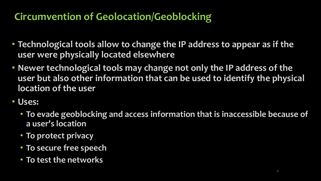## **Circumvention of Geolocation/Geoblocking**

- **Technological tools allow to change the IP address to appear as if the user were physically located elsewhere**
- **Newer technological tools may change not only the IP address of the user but also other information that can be used to identify the physical location of the user**
- **Uses:**
	- **To evade geoblocking and access information that is inaccessible because of a user's location**
	- **To protect privacy**
	- **To secure free speech**
	- **To test the networks**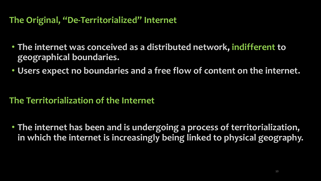#### **The Original, "De-Territorialized" Internet**

- **The internet was conceived as a distributed network, indifferent to geographical boundaries.**
- **Users expect no boundaries and a free flow of content on the internet.**

#### **The Territorialization of the Internet**

• **The internet has been and is undergoing a process of territorialization, in which the internet is increasingly being linked to physical geography.**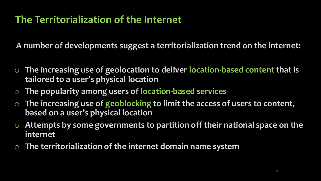#### **The Territorialization of the Internet**

**A number of developments suggest a territorialization trend on the internet:**

- o **The increasing use of geolocation to deliver location-based content that is tailored to a user's physical location**
- o **The popularity among users of location-based services**
- o **The increasing use of geoblocking to limit the access of users to content, based on a user's physical location**
- o **Attempts by some governments to partition off their national space on the internet**
- o **The territorialization of the internet domain name system**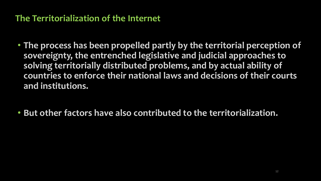#### **The Territorialization of the Internet**

- **The process has been propelled partly by the territorial perception of sovereignty, the entrenched legislative and judicial approaches to solving territorially distributed problems, and by actual ability of countries to enforce their national laws and decisions of their courts and institutions.**
- **But other factors have also contributed to the territorialization.**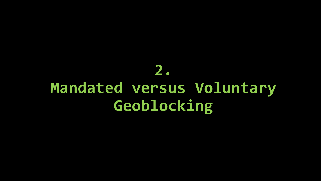## **2. Mandated versus Voluntary Geoblocking**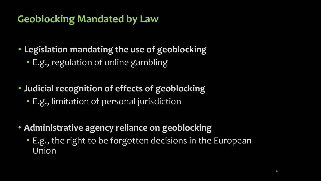### **Geoblocking Mandated by Law**

- **Legislation mandating the use of geoblocking**
	- E.g., regulation of online gambling
- **Judicial recognition of effects of geoblocking**
	- E.g., limitation of personal jurisdiction
- **Administrative agency reliance on geoblocking**
	- E.g., the right to be forgotten decisions in the European Union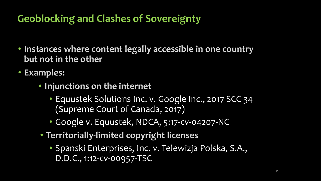## **Geoblocking and Clashes of Sovereignty**

- **Instances where content legally accessible in one country but not in the other**
- **Examples:**
	- **Injunctions on the internet**
		- Equustek Solutions Inc. v. Google Inc., 2017 SCC 34 (Supreme Court of Canada, 2017)
		- Google v. Equustek, NDCA, 5:17-cv-04207-NC
	- **Territorially-limited copyright licenses**
		- Spanski Enterprises, Inc. v. Telewizja Polska, S.A., D.D.C., 1:12-cv-00957-TSC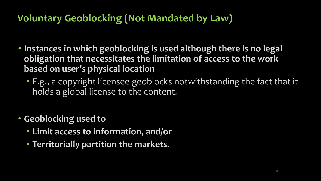### **Voluntary Geoblocking (Not Mandated by Law)**

- **Instances in which geoblocking is used although there is no legal obligation that necessitates the limitation of access to the work based on user's physical location**
	- E.g., a copyright licensee geoblocks notwithstanding the fact that it holds a global license to the content.
- **Geoblocking used to**
	- **Limit access to information, and/or**
	- **Territorially partition the markets.**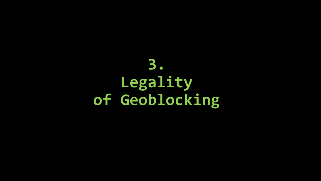## **3. Legality of Geoblocking**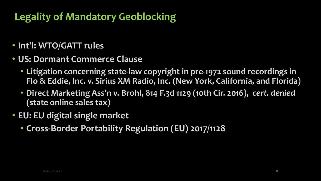## **Legality of Mandatory Geoblocking**

- **Int'l: WTO/GATT rules**
- **US: Dormant Commerce Clause**
	- **Litigation concerning state-law copyright in pre-1972 sound recordings in Flo & Eddie, Inc. v. Sirius XM Radio, Inc. (New York, California, and Florida)**
	- **Direct Marketing Ass'n v. Brohl, 814 F.3d 1129 (10th Cir. 2016),** *cert. denied* **(state online sales tax)**
- **EU: EU digital single market**
	- **Cross-Border Portability Regulation (EU) 2017/1128**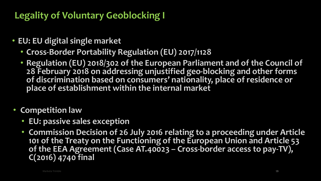#### **Legality of Voluntary Geoblocking I**

- **EU: EU digital single market**
	- **Cross-Border Portability Regulation (EU) 2017/1128**
	- **Regulation (EU) 2018/302 of the European Parliament and of the Council of 28 February 2018 on addressing unjustified geo-blocking and other forms of discrimination based on consumers' nationality, place of residence or place of establishment within the internal market**
- **Competition law**
	- **EU: passive sales exception**
	- **Commission Decision of 26 July 2016 relating to a proceeding under Article 101 of the Treaty on the Functioning of the European Union and Article 53 of the EEA Agreement (Case AT.40023 – Cross-border access to pay-TV), C(2016) 4740 final**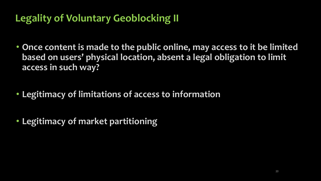## **Legality of Voluntary Geoblocking II**

- **Once content is made to the public online, may access to it be limited based on users' physical location, absent a legal obligation to limit access in such way?**
- **Legitimacy of limitations of access to information**
- **Legitimacy of market partitioning**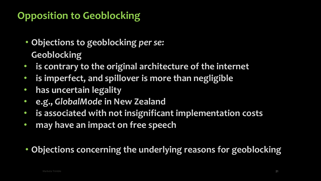## **Opposition to Geoblocking**

- **Objections to geoblocking** *per se:* **Geoblocking**
- **is contrary to the original architecture of the internet**
- **is imperfect, and spillover is more than negligible**
- **has uncertain legality**
- **e.g.,** *GlobalMode* **in New Zealand**
- **is associated with not insignificant implementation costs**
- **may have an impact on free speech**
- **Objections concerning the underlying reasons for geoblocking**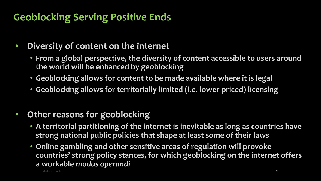## **Geoblocking Serving Positive Ends**

- **Diversity of content on the internet**
	- **From a global perspective, the diversity of content accessible to users around the world will be enhanced by geoblocking**
	- **Geoblocking allows for content to be made available where it is legal**
	- **Geoblocking allows for territorially-limited (i.e. lower-priced) licensing**
- **Other reasons for geoblocking**
	- **A territorial partitioning of the internet is inevitable as long as countries have strong national public policies that shape at least some of their laws**
	- **Online gambling and other sensitive areas of regulation will provoke countries' strong policy stances, for which geoblocking on the internet offers a workable** *modus operandi*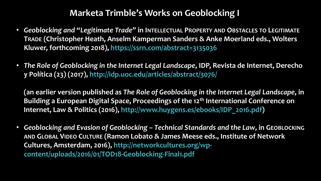#### **Marketa Trimble's Works on Geoblocking I**

- *Geoblocking and "Legitimate Trade"* **in INTELLECTUAL PROPERTY AND OBSTACLES TO LEGITIMATE TRADE (Christopher Heath, Anselm Kamperman Sanders & Anke Moerland eds., Wolters Kluwer, forthcoming 2018),<https://ssrn.com/abstract=3135036>**
- *The Role of Geoblocking in the Internet Legal Landscape***, IDP, Revista de Internet, Derecho y Política (23) (2017),<http://idp.uoc.edu/articles/abstract/3076/>**

**(an earlier version published as** *The Role of Geoblocking in the Internet Legal Landscape***, in Building a European Digital Space, Proceedings of the 12th International Conference on Internet, Law & Politics (2016), [http://www.huygens.es/ebooks/IDP\\_2016.pdf\)](http://www.huygens.es/ebooks/IDP_2016.pdf)**

• *Geoblocking and Evasion of Geoblocking – Technical Standards and the Law***, in GEOBLOCKING AND GLOBAL VIDEO CULTURE (Ramon Lobato & James Meese eds., Institute of Network [Cultures, Amsterdam, 2016\), http://networkcultures.org/wp](http://networkcultures.org/wp-content/uploads/2016/01/TOD18-Geoblocking-Final1.pdf)content/uploads/2016/01/TOD18-Geoblocking-Final1.pdf**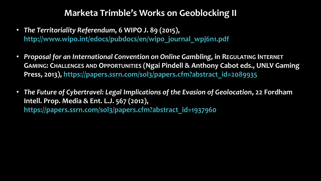#### **Marketa Trimble's Works on Geoblocking II**

- *The Territoriality Referendum***, 6 WIPO J. 89 (2015), [http://www.wipo.int/edocs/pubdocs/en/wipo\\_journal\\_wpj6n1.pdf](http://www.wipo.int/edocs/pubdocs/en/wipo_journal_wpj6n1.pdf)**
- *Proposal for an International Convention on Online Gambling***, in REGULATING INTERNET GAMING: CHALLENGES AND OPPORTUNITIES (Ngai Pindell & Anthony Cabot eds., UNLV Gaming Press, 2013), [https://papers.ssrn.com/sol3/papers.cfm?abstract\\_id=2089935](https://papers.ssrn.com/sol3/papers.cfm?abstract_id=2089935)**
- *The Future of Cybertravel: Legal Implications of the Evasion of Geolocation***, 22 Fordham Intell. Prop. Media & Ent. L.J. 567 (2012), [https://papers.ssrn.com/sol3/papers.cfm?abstract\\_id=1937960](https://papers.ssrn.com/sol3/papers.cfm?abstract_id=1937960)**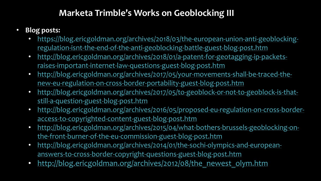#### **Marketa Trimble's Works on Geoblocking III**

- **Blog posts:**
	- [https://blog.ericgoldman.org/archives/2018/03/the-european-union-anti-geoblocking](https://blog.ericgoldman.org/archives/2018/03/the-european-union-anti-geoblocking-regulation-isnt-the-end-of-the-anti-geoblocking-battle-guest-blog-post.htm)regulation-isnt-the-end-of-the-anti-geoblocking-battle-guest-blog-post.htm
	- [http://blog.ericgoldman.org/archives/2018/01/a-patent-for-geotagging-ip-packets](http://blog.ericgoldman.org/archives/2018/01/a-patent-for-geotagging-ip-packets-raises-important-internet-law-questions-guest-blog-post.htm)raises-important-internet-law-questions-guest-blog-post.htm
	- [http://blog.ericgoldman.org/archives/2017/05/your-movements-shall-be-traced-the](http://blog.ericgoldman.org/archives/2017/05/your-movements-shall-be-traced-the-new-eu-regulation-on-cross-border-portability-guest-blog-post.htm)new-eu-regulation-on-cross-border-portability-guest-blog-post.htm
	- [http://blog.ericgoldman.org/archives/2017/05/to-geoblock-or-not-to-geoblock-is-that](http://blog.ericgoldman.org/archives/2017/05/to-geoblock-or-not-to-geoblock-is-that-still-a-question-guest-blog-post.htm)still-a-question-guest-blog-post.htm
	- [http://blog.ericgoldman.org/archives/2016/05/proposed-eu-regulation-on-cross-border](http://blog.ericgoldman.org/archives/2016/05/proposed-eu-regulation-on-cross-border-access-to-copyrighted-content-guest-blog-post.htm)access-to-copyrighted-content-guest-blog-post.htm
	- [http://blog.ericgoldman.org/archives/2015/04/what-bothers-brussels-geoblocking-on](http://blog.ericgoldman.org/archives/2015/04/what-bothers-brussels-geoblocking-on-the-front-burner-of-the-eu-commission-guest-blog-post.htm)the-front-burner-of-the-eu-commission-guest-blog-post.htm
	- [http://blog.ericgoldman.org/archives/2014/01/the-sochi-olympics-and-european](http://blog.ericgoldman.org/archives/2014/01/the-sochi-olympics-and-european-answers-to-cross-border-copyright-questions-guest-blog-post.htm)answers-to-cross-border-copyright-questions-guest-blog-post.htm
	- [http://blog.ericgoldman.org/archives/2012/08/the\\_newest\\_olym.htm](http://blog.ericgoldman.org/archives/2012/08/the_newest_olym.htm)